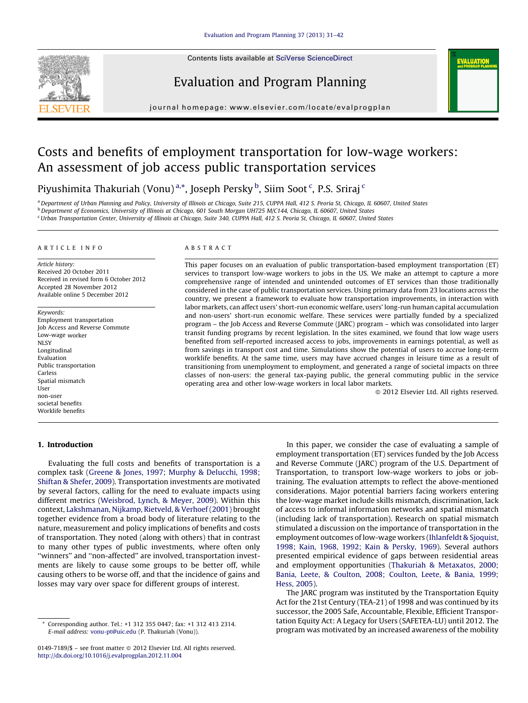

Evaluation and Program Planning



journal homepage: www.elsevier.com/locate/evalprogplan

# Costs and benefits of employment transportation for low-wage workers: An assessment of job access public transportation services

Piyushimita Thakuriah (Vonu)<sup>a,\*</sup>, Joseph Persky <sup>b</sup>, Siim Soot <sup>c</sup>, P.S. Sriraj <sup>c</sup>

a Department of Urban Planning and Policy, University of Illinois at Chicago, Suite 215, CUPPA Hall, 412 S. Peoria St, Chicago, IL 60607, United States <sup>b</sup> Department of Economics, University of Illinois at Chicago, 601 South Morgan UH725 M/C144, Chicago, IL 60607, United States <sup>c</sup> Urban Transportation Center, University of Illinois at Chicago, Suite 340, CUPPA Hall, 412 S. Peoria St, Chicago, IL 60607, United States

### A R T I C L E I N F O

Article history: Received 20 October 2011 Received in revised form 6 October 2012 Accepted 28 November 2012 Available online 5 December 2012

Keywords: Employment transportation Job Access and Reverse Commute Low-wage worker **NLSY** Longitudinal Evaluation Public transportation Carless Spatial mismatch User non-user societal benefits Worklife benefits

## A B S T R A C T

This paper focuses on an evaluation of public transportation-based employment transportation (ET) services to transport low-wage workers to jobs in the US. We make an attempt to capture a more comprehensive range of intended and unintended outcomes of ET services than those traditionally considered in the case of public transportation services. Using primary data from 23 locations across the country, we present a framework to evaluate how transportation improvements, in interaction with labor markets, can affect users' short-run economic welfare, users' long-run human capital accumulation and non-users' short-run economic welfare. These services were partially funded by a specialized program – the Job Access and Reverse Commute (JARC) program – which was consolidated into larger transit funding programs by recent legislation. In the sites examined, we found that low wage users benefited from self-reported increased access to jobs, improvements in earnings potential, as well as from savings in transport cost and time. Simulations show the potential of users to accrue long-term worklife benefits. At the same time, users may have accrued changes in leisure time as a result of transitioning from unemployment to employment, and generated a range of societal impacts on three classes of non-users: the general tax-paying public, the general commuting public in the service operating area and other low-wage workers in local labor markets.

- 2012 Elsevier Ltd. All rights reserved.

# 1. Introduction

Evaluating the full costs and benefits of transportation is a complex task (Greene & Jones, 1997; Murphy & [Delucchi,](#page--1-0) 1998; [Shiftan](#page--1-0) & Shefer, 2009). Transportation investments are motivated by several factors, calling for the need to evaluate impacts using different metrics ([Weisbrod,](#page--1-0) Lynch, & Meyer, 2009). Within this context, [Lakshmanan,](#page--1-0) Nijkamp, Rietveld, & Verhoef (2001) brought together evidence from a broad body of literature relating to the nature, measurement and policy implications of benefits and costs of transportation. They noted (along with others) that in contrast to many other types of public investments, where often only ''winners'' and ''non-affected'' are involved, transportation investments are likely to cause some groups to be better off, while causing others to be worse off, and that the incidence of gains and losses may vary over space for different groups of interest.

In this paper, we consider the case of evaluating a sample of employment transportation (ET) services funded by the Job Access and Reverse Commute (JARC) program of the U.S. Department of Transportation, to transport low-wage workers to jobs or jobtraining. The evaluation attempts to reflect the above-mentioned considerations. Major potential barriers facing workers entering the low-wage market include skills mismatch, discrimination, lack of access to informal information networks and spatial mismatch (including lack of transportation). Research on spatial mismatch stimulated a discussion on the importance of transportation in the employment outcomes of low-wage workers [\(Ihlanfeldt](#page--1-0) & Sjoquist, 1998; Kain, 1968, 1992; Kain & [Persky,](#page--1-0) 1969). Several authors presented empirical evidence of gaps between residential areas and employment opportunities (Thakuriah & [Metaxatos,](#page--1-0) 2000; Bania, Leete, & [Coulton,](#page--1-0) 2008; Coulton, Leete, & Bania, 1999; [Hess,](#page--1-0) 2005).

The JARC program was instituted by the Transportation Equity Act for the 21st Century (TEA-21) of 1998 and was continued by its successor, the 2005 Safe, Accountable, Flexible, Efficient Transportation Equity Act: A Legacy for Users (SAFETEA-LU) until 2012. The program was motivated by an increased awareness of the mobility

Corresponding author. Tel.: +1 312 355 0447; fax: +1 312 413 2314. E-mail address: [vonu-pt@uic.edu](mailto:vonu-pt@uic.edu) (P. Thakuriah (Vonu)).

<sup>0149-7189/\$ –</sup> see front matter © 2012 Elsevier Ltd. All rights reserved. <http://dx.doi.org/10.1016/j.evalprogplan.2012.11.004>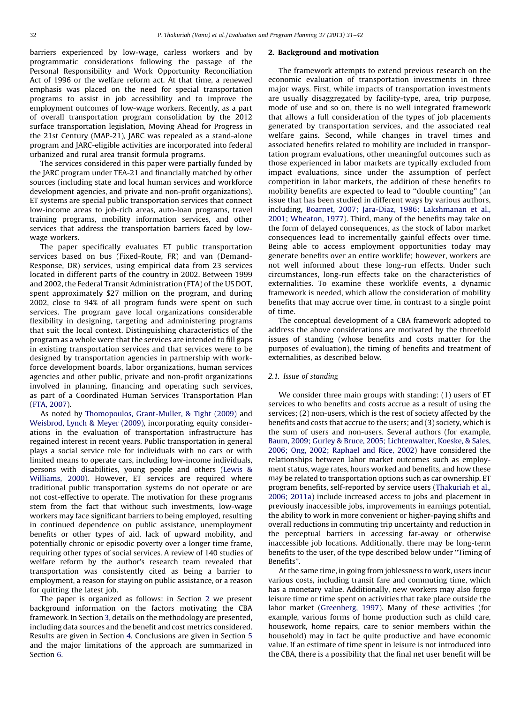barriers experienced by low-wage, carless workers and by programmatic considerations following the passage of the Personal Responsibility and Work Opportunity Reconciliation Act of 1996 or the welfare reform act. At that time, a renewed emphasis was placed on the need for special transportation programs to assist in job accessibility and to improve the employment outcomes of low-wage workers. Recently, as a part of overall transportation program consolidation by the 2012 surface transportation legislation, Moving Ahead for Progress in the 21st Century (MAP-21), JARC was repealed as a stand-alone program and JARC-eligible activities are incorporated into federal urbanized and rural area transit formula programs.

The services considered in this paper were partially funded by the JARC program under TEA-21 and financially matched by other sources (including state and local human services and workforce development agencies, and private and non-profit organizations). ET systems are special public transportation services that connect low-income areas to job-rich areas, auto-loan programs, travel training programs, mobility information services, and other services that address the transportation barriers faced by lowwage workers.

The paper specifically evaluates ET public transportation services based on bus (Fixed-Route, FR) and van (Demand-Response, DR) services, using empirical data from 23 services located in different parts of the country in 2002. Between 1999 and 2002, the Federal Transit Administration (FTA) of the US DOT, spent approximately \$27 million on the program, and during 2002, close to 94% of all program funds were spent on such services. The program gave local organizations considerable flexibility in designing, targeting and administering programs that suit the local context. Distinguishing characteristics of the program as a whole were that the services are intended to fill gaps in existing transportation services and that services were to be designed by transportation agencies in partnership with workforce development boards, labor organizations, human services agencies and other public, private and non-profit organizations involved in planning, financing and operating such services, as part of a Coordinated Human Services Transportation Plan (FTA, [2007\)](#page--1-0).

As noted by [Thomopoulos,](#page--1-0) Grant-Muller, & Tight (2009) and [Weisbrod,](#page--1-0) Lynch & Meyer (2009), incorporating equity considerations in the evaluation of transportation infrastructure has regained interest in recent years. Public transportation in general plays a social service role for individuals with no cars or with limited means to operate cars, including low-income individuals, persons with disabilities, young people and others ([Lewis](#page--1-0) & [Williams,](#page--1-0) 2000). However, ET services are required where traditional public transportation systems do not operate or are not cost-effective to operate. The motivation for these programs stem from the fact that without such investments, low-wage workers may face significant barriers to being employed, resulting in continued dependence on public assistance, unemployment benefits or other types of aid, lack of upward mobility, and potentially chronic or episodic poverty over a longer time frame, requiring other types of social services. A review of 140 studies of welfare reform by the author's research team revealed that transportation was consistently cited as being a barrier to employment, a reason for staying on public assistance, or a reason for quitting the latest job.

The paper is organized as follows: in Section 2 we present background information on the factors motivating the CBA framework. In Section [3](#page--1-0), details on the methodology are presented, including data sources and the benefit and cost metrics considered. Results are given in Section [4.](#page--1-0) Conclusions are given in Section [5](#page--1-0) and the major limitations of the approach are summarized in Section [6](#page--1-0).

#### 2. Background and motivation

The framework attempts to extend previous research on the economic evaluation of transportation investments in three major ways. First, while impacts of transportation investments are usually disaggregated by facility-type, area, trip purpose, mode of use and so on, there is no well integrated framework that allows a full consideration of the types of job placements generated by transportation services, and the associated real welfare gains. Second, while changes in travel times and associated benefits related to mobility are included in transportation program evaluations, other meaningful outcomes such as those experienced in labor markets are typically excluded from impact evaluations, since under the assumption of perfect competition in labor markets, the addition of these benefits to mobility benefits are expected to lead to ''double counting'' (an issue that has been studied in different ways by various authors, including, Boarnet, 2007; Jara-Diaz, 1986; [Lakshmanan](#page--1-0) et al., 2001; [Wheaton,](#page--1-0) 1977). Third, many of the benefits may take on the form of delayed consequences, as the stock of labor market consequences lead to incrementally gainful effects over time. Being able to access employment opportunities today may generate benefits over an entire worklife; however, workers are not well informed about these long-run effects. Under such circumstances, long-run effects take on the characteristics of externalities. To examine these worklife events, a dynamic framework is needed, which allow the consideration of mobility benefits that may accrue over time, in contrast to a single point of time.

The conceptual development of a CBA framework adopted to address the above considerations are motivated by the threefold issues of standing (whose benefits and costs matter for the purposes of evaluation), the timing of benefits and treatment of externalities, as described below.

#### 2.1. Issue of standing

We consider three main groups with standing: (1) users of ET services to who benefits and costs accrue as a result of using the services; (2) non-users, which is the rest of society affected by the benefits and costs that accrue to the users; and (3) society, which is the sum of users and non-users. Several authors (for example, Baum, 2009; Gurley & Bruce, 2005; [Lichtenwalter,](#page--1-0) Koeske, & Sales, 2006; Ong, 2002; [Raphael](#page--1-0) and Rice, 2002) have considered the relationships between labor market outcomes such as employment status, wage rates, hours worked and benefits, and how these may be related to transportation options such as car ownership. ET program benefits, self-reported by service users ([Thakuriah](#page--1-0) et al., 2006; [2011a](#page--1-0)) include increased access to jobs and placement in previously inaccessible jobs, improvements in earnings potential, the ability to work in more convenient or higher-paying shifts and overall reductions in commuting trip uncertainty and reduction in the perceptual barriers in accessing far-away or otherwise inaccessible job locations. Additionally, there may be long-term benefits to the user, of the type described below under ''Timing of Benefits''.

At the same time, in going from joblessness to work, users incur various costs, including transit fare and commuting time, which has a monetary value. Additionally, new workers may also forgo leisure time or time spent on activities that take place outside the labor market [\(Greenberg,](#page--1-0) 1997). Many of these activities (for example, various forms of home production such as child care, housework, home repairs, care to senior members within the household) may in fact be quite productive and have economic value. If an estimate of time spent in leisure is not introduced into the CBA, there is a possibility that the final net user benefit will be